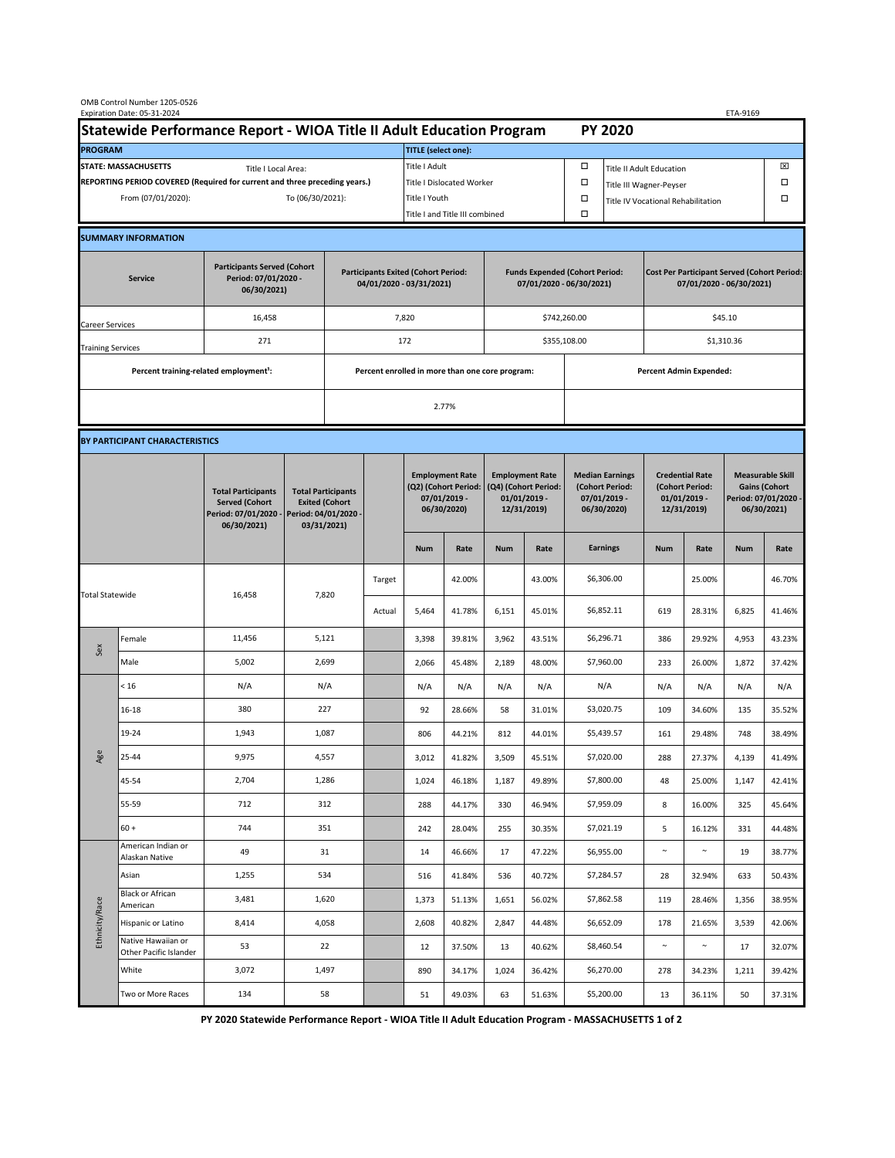| OMB Control Number 1205-0526<br>Expiration Date: 05-31-2024<br>ETA-9169                     |                                                    |                                                                                           |                                                                                           |                                                 |                                |                                                                               |                                                                   |                                                                                 |                                |                                                                                |                 |                                                                            |        |                                                                                        |        |  |
|---------------------------------------------------------------------------------------------|----------------------------------------------------|-------------------------------------------------------------------------------------------|-------------------------------------------------------------------------------------------|-------------------------------------------------|--------------------------------|-------------------------------------------------------------------------------|-------------------------------------------------------------------|---------------------------------------------------------------------------------|--------------------------------|--------------------------------------------------------------------------------|-----------------|----------------------------------------------------------------------------|--------|----------------------------------------------------------------------------------------|--------|--|
| Statewide Performance Report - WIOA Title II Adult Education Program                        |                                                    |                                                                                           |                                                                                           |                                                 |                                | <b>PY 2020</b>                                                                |                                                                   |                                                                                 |                                |                                                                                |                 |                                                                            |        |                                                                                        |        |  |
| <b>PROGRAM</b>                                                                              |                                                    |                                                                                           |                                                                                           |                                                 |                                | <b>TITLE</b> (select one):                                                    |                                                                   |                                                                                 |                                |                                                                                |                 |                                                                            |        |                                                                                        |        |  |
| <b>STATE: MASSACHUSETTS</b><br>Title I Local Area:                                          |                                                    |                                                                                           |                                                                                           |                                                 |                                | Title I Adult                                                                 |                                                                   |                                                                                 |                                | □<br><b>Title II Adult Education</b>                                           |                 |                                                                            |        |                                                                                        | ⊠      |  |
| REPORTING PERIOD COVERED (Required for current and three preceding years.)                  |                                                    |                                                                                           |                                                                                           |                                                 | Title I Dislocated Worker      |                                                                               |                                                                   |                                                                                 | Ω                              | □<br>Title III Wagner-Peyser                                                   |                 |                                                                            |        |                                                                                        |        |  |
| From (07/01/2020):<br>To (06/30/2021):                                                      |                                                    |                                                                                           |                                                                                           |                                                 | Title I Youth                  |                                                                               |                                                                   |                                                                                 | $\Box$                         | □<br>Title IV Vocational Rehabilitation                                        |                 |                                                                            |        |                                                                                        |        |  |
|                                                                                             |                                                    |                                                                                           |                                                                                           |                                                 | Title I and Title III combined |                                                                               |                                                                   |                                                                                 |                                | Ω                                                                              |                 |                                                                            |        |                                                                                        |        |  |
|                                                                                             | <b>SUMMARY INFORMATION</b>                         |                                                                                           |                                                                                           |                                                 |                                |                                                                               |                                                                   |                                                                                 |                                |                                                                                |                 |                                                                            |        |                                                                                        |        |  |
| <b>Participants Served (Cohort</b><br>Period: 07/01/2020 -<br><b>Service</b><br>06/30/2021) |                                                    |                                                                                           | <b>Participants Exited (Cohort Period:</b><br>04/01/2020 - 03/31/2021)                    |                                                 |                                |                                                                               | <b>Funds Expended (Cohort Period:</b><br>07/01/2020 - 06/30/2021) |                                                                                 |                                | <b>Cost Per Participant Served (Cohort Period:</b><br>07/01/2020 - 06/30/2021) |                 |                                                                            |        |                                                                                        |        |  |
| Career Services                                                                             |                                                    | 16,458                                                                                    |                                                                                           |                                                 |                                | 7,820                                                                         |                                                                   |                                                                                 |                                | \$742,260.00                                                                   |                 | \$45.10                                                                    |        |                                                                                        |        |  |
| <b>Training Services</b>                                                                    |                                                    | 271                                                                                       |                                                                                           | 172                                             |                                |                                                                               |                                                                   |                                                                                 |                                | \$355,108.00                                                                   |                 | \$1,310.36                                                                 |        |                                                                                        |        |  |
|                                                                                             | Percent training-related employment <sup>1</sup> : |                                                                                           |                                                                                           | Percent enrolled in more than one core program: |                                |                                                                               |                                                                   |                                                                                 | <b>Percent Admin Expended:</b> |                                                                                |                 |                                                                            |        |                                                                                        |        |  |
|                                                                                             |                                                    |                                                                                           |                                                                                           | 2.77%                                           |                                |                                                                               |                                                                   |                                                                                 |                                |                                                                                |                 |                                                                            |        |                                                                                        |        |  |
|                                                                                             |                                                    |                                                                                           |                                                                                           |                                                 |                                |                                                                               |                                                                   |                                                                                 |                                |                                                                                |                 |                                                                            |        |                                                                                        |        |  |
| BY PARTICIPANT CHARACTERISTICS                                                              |                                                    |                                                                                           |                                                                                           |                                                 |                                |                                                                               |                                                                   |                                                                                 |                                |                                                                                |                 |                                                                            |        |                                                                                        |        |  |
|                                                                                             |                                                    | <b>Total Participants</b><br><b>Served (Cohort</b><br>Period: 07/01/2020 -<br>06/30/2021) | <b>Total Participants</b><br><b>Exited (Cohort</b><br>Period: 04/01/2020 -<br>03/31/2021) |                                                 |                                | <b>Employment Rate</b><br>(Q2) (Cohort Period:<br>07/01/2019 -<br>06/30/2020) |                                                                   | <b>Employment Rate</b><br>(Q4) (Cohort Period:<br>$01/01/2019$ -<br>12/31/2019) |                                | <b>Median Earnings</b><br>(Cohort Period:<br>$07/01/2019 -$<br>06/30/2020)     |                 | <b>Credential Rate</b><br>(Cohort Period:<br>$01/01/2019$ -<br>12/31/2019) |        | <b>Measurable Skill</b><br><b>Gains (Cohort</b><br>Period: 07/01/2020 -<br>06/30/2021) |        |  |
|                                                                                             |                                                    |                                                                                           |                                                                                           |                                                 |                                |                                                                               | Rate                                                              | <b>Num</b>                                                                      | Rate                           |                                                                                | <b>Earnings</b> | <b>Num</b>                                                                 | Rate   | <b>Num</b>                                                                             | Rate   |  |
| <b>Total Statewide</b>                                                                      |                                                    | 16,458                                                                                    | 7,820                                                                                     |                                                 | Target                         |                                                                               | 42.00%                                                            |                                                                                 | 43.00%                         |                                                                                | \$6,306.00      |                                                                            | 25.00% |                                                                                        | 46.70% |  |
|                                                                                             |                                                    |                                                                                           |                                                                                           |                                                 | Actual                         | 5,464                                                                         | 41.78%                                                            | 6,151                                                                           | 45.01%                         |                                                                                | \$6,852.11      | 619                                                                        | 28.31% | 6,825                                                                                  | 41.46% |  |
| Sex                                                                                         | Female                                             | 11,456                                                                                    | 5,121                                                                                     |                                                 |                                | 3,398                                                                         | 39.81%                                                            | 3,962                                                                           | 43.51%                         |                                                                                | \$6,296.71      | 386                                                                        | 29.92% | 4,953                                                                                  | 43.23% |  |
|                                                                                             | Male                                               | 5,002                                                                                     | 2,699                                                                                     |                                                 |                                | 2,066                                                                         | 45.48%                                                            | 2,189                                                                           | 48.00%                         |                                                                                | \$7,960.00      | 233                                                                        | 26.00% | 1,872                                                                                  | 37.42% |  |
| Age                                                                                         | < 16                                               | N/A                                                                                       | N/A                                                                                       |                                                 |                                | N/A                                                                           | N/A                                                               | N/A                                                                             | N/A                            |                                                                                | N/A             | N/A                                                                        | N/A    | N/A                                                                                    | N/A    |  |
|                                                                                             | $16 - 18$                                          | 380                                                                                       | 227                                                                                       |                                                 |                                | 92                                                                            | 28.66%                                                            | 58                                                                              | 31.01%                         |                                                                                | \$3,020.75      | 109                                                                        | 34.60% | 135                                                                                    | 35.52% |  |
|                                                                                             | 19-24                                              | 1,943                                                                                     | 1,087                                                                                     |                                                 |                                | 806                                                                           | 44.21%                                                            | 812                                                                             | 44.01%                         |                                                                                | \$5,439.57      | 161                                                                        | 29.48% | 748                                                                                    | 38.49% |  |
|                                                                                             | 25-44                                              | 9,975                                                                                     | 4,557                                                                                     |                                                 |                                | 3,012                                                                         | 41.82%                                                            | 3,509                                                                           | 45.51%                         |                                                                                | \$7,020.00      | 288                                                                        | 27.37% | 4,139                                                                                  | 41.49% |  |
|                                                                                             | 45-54                                              | 2,704                                                                                     | 1,286                                                                                     |                                                 |                                | 1,024                                                                         | 46.18%                                                            | 1,187                                                                           | 49.89%                         |                                                                                | \$7,800.00      | 48                                                                         | 25.00% | 1,147                                                                                  | 42.41% |  |
|                                                                                             | 55-59                                              | 712                                                                                       | 312                                                                                       |                                                 |                                | 288                                                                           | 44.17%                                                            | 330                                                                             | 46.94%                         |                                                                                | \$7,959.09      | 8                                                                          | 16.00% | 325                                                                                    | 45.64% |  |
|                                                                                             | $60 +$                                             | 744                                                                                       | 351                                                                                       |                                                 |                                | 242                                                                           | 28.04%                                                            | 255                                                                             | 30.35%                         |                                                                                | \$7,021.19      | 5                                                                          | 16.12% | 331                                                                                    | 44.48% |  |
| Ethnicity/Race                                                                              | American Indian or<br>Alaskan Native               | 49                                                                                        | 31                                                                                        |                                                 |                                | 14                                                                            | 46.66%                                                            | 17                                                                              | 47.22%                         |                                                                                | \$6,955.00      | $\sim$                                                                     | $\sim$ | 19                                                                                     | 38.77% |  |
|                                                                                             | Asian                                              | 1,255                                                                                     | 534                                                                                       |                                                 |                                | 516                                                                           | 41.84%                                                            | 536                                                                             | 40.72%                         |                                                                                | \$7,284.57      | 28                                                                         | 32.94% | 633                                                                                    | 50.43% |  |
|                                                                                             | Black or African<br>American                       | 3,481                                                                                     | 1,620                                                                                     |                                                 |                                | 1,373                                                                         | 51.13%                                                            | 1,651                                                                           | 56.02%                         |                                                                                | \$7,862.58      | 119                                                                        | 28.46% | 1,356                                                                                  | 38.95% |  |
|                                                                                             | Hispanic or Latino                                 | 8,414                                                                                     | 4,058                                                                                     |                                                 |                                | 2,608                                                                         | 40.82%                                                            | 2,847                                                                           | 44.48%                         |                                                                                | \$6,652.09      | 178                                                                        | 21.65% | 3,539                                                                                  | 42.06% |  |
|                                                                                             | Native Hawaiian or<br>Other Pacific Islander       | 53                                                                                        | 22                                                                                        |                                                 |                                | 12                                                                            | 37.50%                                                            | 13                                                                              | 40.62%                         |                                                                                | \$8,460.54      | $\sim$                                                                     | $\sim$ | 17                                                                                     | 32.07% |  |
|                                                                                             | White                                              | 3,072                                                                                     | 1,497                                                                                     |                                                 |                                | 890                                                                           | 34.17%                                                            | 1,024                                                                           | 36.42%                         |                                                                                | \$6,270.00      | 278                                                                        | 34.23% | 1,211                                                                                  | 39.42% |  |
|                                                                                             | Two or More Races                                  | 134                                                                                       | 58                                                                                        |                                                 |                                | 51                                                                            | 49.03%                                                            | 63                                                                              | 51.63%                         |                                                                                | \$5,200.00      | 13                                                                         | 36.11% | 50                                                                                     | 37.31% |  |

**PY 2020 Statewide Performance Report - WIOA Title II Adult Education Program - MASSACHUSETTS 1 of 2**